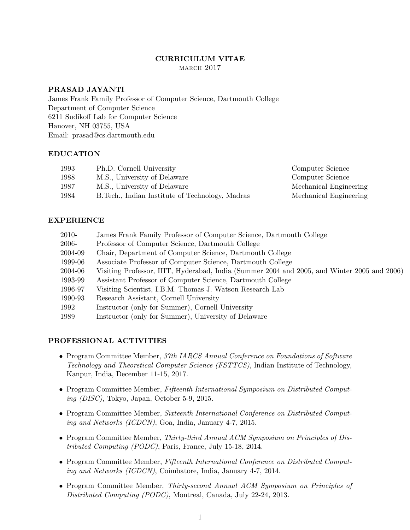## CURRICULUM VITAE MARCH 2017

## PRASAD JAYANTI

James Frank Family Professor of Computer Science, Dartmouth College Department of Computer Science 6211 Sudikoff Lab for Computer Science Hanover, NH 03755, USA Email: prasad@cs.dartmouth.edu

## EDUCATION

| 1993 | Ph.D. Cornell University                         | Computer Science       |
|------|--------------------------------------------------|------------------------|
| 1988 | M.S., University of Delaware                     | Computer Science       |
| 1987 | M.S., University of Delaware                     | Mechanical Engineering |
| 1984 | B. Tech., Indian Institute of Technology, Madras | Mechanical Engineering |

## EXPERIENCE

| 2010-   | James Frank Family Professor of Computer Science, Dartmouth College                         |  |
|---------|---------------------------------------------------------------------------------------------|--|
| 2006-   | Professor of Computer Science, Dartmouth College                                            |  |
| 2004-09 | Chair, Department of Computer Science, Dartmouth College                                    |  |
| 1999-06 | Associate Professor of Computer Science, Dartmouth College                                  |  |
| 2004-06 | Visiting Professor, IIIT, Hyderabad, India (Summer 2004 and 2005, and Winter 2005 and 2006) |  |
| 1993-99 | Assistant Professor of Computer Science, Dartmouth College                                  |  |
| 1996-97 | Visiting Scientist, I.B.M. Thomas J. Watson Research Lab                                    |  |
| 1990-93 | Research Assistant, Cornell University                                                      |  |
| 1992    | Instructor (only for Summer), Cornell University                                            |  |
| 1989    | Instructor (only for Summer), University of Delaware                                        |  |

# PROFESSIONAL ACTIVITIES

- Program Committee Member, 37th IARCS Annual Conference on Foundations of Software Technology and Theoretical Computer Science (FSTTCS), Indian Institute of Technology, Kanpur, India, December 11-15, 2017.
- Program Committee Member, Fifteenth International Symposium on Distributed Computing (DISC), Tokyo, Japan, October 5-9, 2015.
- Program Committee Member, Sixteenth International Conference on Distributed Computing and Networks (ICDCN), Goa, India, January 4-7, 2015.
- Program Committee Member, Thirty-third Annual ACM Symposium on Principles of Distributed Computing (PODC), Paris, France, July 15-18, 2014.
- Program Committee Member, Fifteenth International Conference on Distributed Computing and Networks (ICDCN), Coimbatore, India, January 4-7, 2014.
- Program Committee Member, Thirty-second Annual ACM Symposium on Principles of Distributed Computing (PODC), Montreal, Canada, July 22-24, 2013.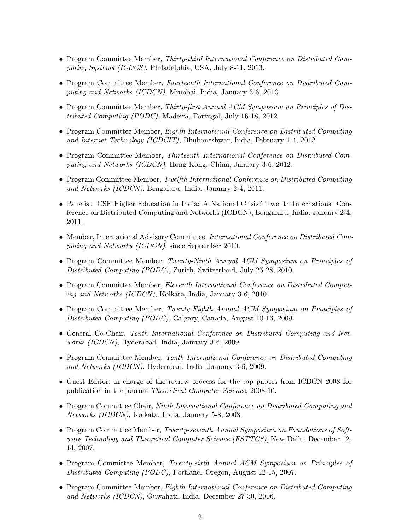- Program Committee Member, Thirty-third International Conference on Distributed Computing Systems (ICDCS), Philadelphia, USA, July 8-11, 2013.
- Program Committee Member, Fourteenth International Conference on Distributed Computing and Networks (ICDCN), Mumbai, India, January 3-6, 2013.
- Program Committee Member, Thirty-first Annual ACM Symposium on Principles of Distributed Computing (PODC), Madeira, Portugal, July 16-18, 2012.
- Program Committee Member, Eighth International Conference on Distributed Computing and Internet Technology (ICDCIT), Bhubaneshwar, India, February 1-4, 2012.
- Program Committee Member, Thirteenth International Conference on Distributed Computing and Networks (ICDCN), Hong Kong, China, January 3-6, 2012.
- Program Committee Member, Twelfth International Conference on Distributed Computing and Networks (ICDCN), Bengaluru, India, January 2-4, 2011.
- Panelist: CSE Higher Education in India: A National Crisis? Twelfth International Conference on Distributed Computing and Networks (ICDCN), Bengaluru, India, January 2-4, 2011.
- Member, International Advisory Committee, *International Conference on Distributed Com*puting and Networks (ICDCN), since September 2010.
- Program Committee Member, Twenty-Ninth Annual ACM Symposium on Principles of Distributed Computing (PODC), Zurich, Switzerland, July 25-28, 2010.
- Program Committee Member, Eleventh International Conference on Distributed Computing and Networks (ICDCN), Kolkata, India, January 3-6, 2010.
- Program Committee Member, Twenty-Eighth Annual ACM Symposium on Principles of Distributed Computing (PODC), Calgary, Canada, August 10-13, 2009.
- General Co-Chair, Tenth International Conference on Distributed Computing and Networks (ICDCN), Hyderabad, India, January 3-6, 2009.
- Program Committee Member, Tenth International Conference on Distributed Computing and Networks (ICDCN), Hyderabad, India, January 3-6, 2009.
- Guest Editor, in charge of the review process for the top papers from ICDCN 2008 for publication in the journal Theoretical Computer Science, 2008-10.
- Program Committee Chair, *Ninth International Conference on Distributed Computing and* Networks (ICDCN), Kolkata, India, January 5-8, 2008.
- Program Committee Member, Twenty-seventh Annual Symposium on Foundations of Software Technology and Theoretical Computer Science (FSTTCS), New Delhi, December 12-14, 2007.
- Program Committee Member, Twenty-sixth Annual ACM Symposium on Principles of Distributed Computing (PODC), Portland, Oregon, August 12-15, 2007.
- Program Committee Member, Eighth International Conference on Distributed Computing and Networks (ICDCN), Guwahati, India, December 27-30, 2006.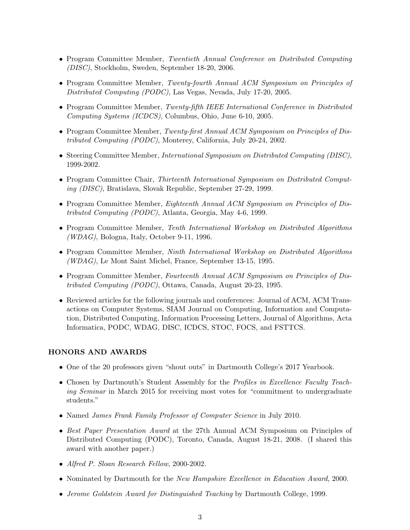- Program Committee Member, Twentieth Annual Conference on Distributed Computing (DISC), Stockholm, Sweden, September 18-20, 2006.
- Program Committee Member, Twenty-fourth Annual ACM Symposium on Principles of Distributed Computing (PODC), Las Vegas, Nevada, July 17-20, 2005.
- Program Committee Member, Twenty-fifth IEEE International Conference in Distributed Computing Systems (ICDCS), Columbus, Ohio, June 6-10, 2005.
- Program Committee Member, Twenty-first Annual ACM Symposium on Principles of Distributed Computing (PODC), Monterey, California, July 20-24, 2002.
- Steering Committee Member, *International Symposium on Distributed Computing (DISC)*, 1999-2002.
- Program Committee Chair, Thirteenth International Symposium on Distributed Computing (DISC), Bratislava, Slovak Republic, September 27-29, 1999.
- Program Committee Member, Eighteenth Annual ACM Symposium on Principles of Distributed Computing (PODC), Atlanta, Georgia, May 4-6, 1999.
- Program Committee Member, Tenth International Workshop on Distributed Algorithms  $(WDAG)$ , Bologna, Italy, October 9-11, 1996.
- Program Committee Member, *Ninth International Workshop on Distributed Algorithms* (WDAG), Le Mont Saint Michel, France, September 13-15, 1995.
- Program Committee Member, Fourteenth Annual ACM Symposium on Principles of Distributed Computing (PODC), Ottawa, Canada, August 20-23, 1995.
- Reviewed articles for the following journals and conferences: Journal of ACM, ACM Transactions on Computer Systems, SIAM Journal on Computing, Information and Computation, Distributed Computing, Information Processing Letters, Journal of Algorithms, Acta Informatica, PODC, WDAG, DISC, ICDCS, STOC, FOCS, and FSTTCS.

## HONORS AND AWARDS

- One of the 20 professors given "shout outs" in Dartmouth College's 2017 Yearbook.
- Chosen by Dartmouth's Student Assembly for the Profiles in Excellence Faculty Teaching Seminar in March 2015 for receiving most votes for "commitment to undergraduate students."
- Named *James Frank Family Professor of Computer Science* in July 2010.
- Best Paper Presentation Award at the 27th Annual ACM Symposium on Principles of Distributed Computing (PODC), Toronto, Canada, August 18-21, 2008. (I shared this award with another paper.)
- Alfred P. Sloan Research Fellow, 2000-2002.
- Nominated by Dartmouth for the *New Hampshire Excellence in Education Award*, 2000.
- Jerome Goldstein Award for Distinguished Teaching by Dartmouth College, 1999.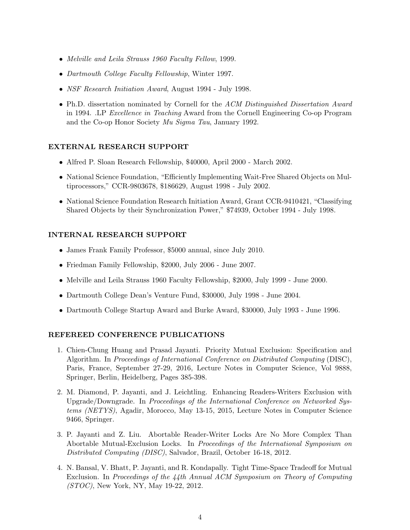- Melville and Leila Strauss 1960 Faculty Fellow, 1999.
- Dartmouth College Faculty Fellowship, Winter 1997.
- *NSF Research Initiation Award*, August 1994 July 1998.
- Ph.D. dissertation nominated by Cornell for the ACM Distinguished Dissertation Award in 1994. .LP Excellence in Teaching Award from the Cornell Engineering Co-op Program and the Co-op Honor Society Mu Sigma Tau, January 1992.

### EXTERNAL RESEARCH SUPPORT

- Alfred P. Sloan Research Fellowship, \$40000, April 2000 March 2002.
- National Science Foundation, "Efficiently Implementing Wait-Free Shared Objects on Multiprocessors," CCR-9803678, \$186629, August 1998 - July 2002.
- National Science Foundation Research Initiation Award, Grant CCR-9410421, "Classifying Shared Objects by their Synchronization Power," \$74939, October 1994 - July 1998.

### INTERNAL RESEARCH SUPPORT

- James Frank Family Professor, \$5000 annual, since July 2010.
- Friedman Family Fellowship, \$2000, July 2006 June 2007.
- Melville and Leila Strauss 1960 Faculty Fellowship, \$2000, July 1999 June 2000.
- Dartmouth College Dean's Venture Fund, \$30000, July 1998 June 2004.
- Dartmouth College Startup Award and Burke Award, \$30000, July 1993 June 1996.

## REFEREED CONFERENCE PUBLICATIONS

- 1. Chien-Chung Huang and Prasad Jayanti. Priority Mutual Exclusion: Specification and Algorithm. In Proceedings of International Conference on Distributed Computing (DISC), Paris, France, September 27-29, 2016, Lecture Notes in Computer Science, Vol 9888, Springer, Berlin, Heidelberg, Pages 385-398.
- 2. M. Diamond, P. Jayanti, and J. Leichtling. Enhancing Readers-Writers Exclusion with Upgrade/Downgrade. In Proceedings of the International Conference on Networked Systems (NETYS), Agadir, Morocco, May 13-15, 2015, Lecture Notes in Computer Science 9466, Springer.
- 3. P. Jayanti and Z. Liu. Abortable Reader-Writer Locks Are No More Complex Than Abortable Mutual-Exclusion Locks. In Proceedings of the International Symposium on Distributed Computing (DISC), Salvador, Brazil, October 16-18, 2012.
- 4. N. Bansal, V. Bhatt, P. Jayanti, and R. Kondapally. Tight Time-Space Tradeoff for Mutual Exclusion. In Proceedings of the 44th Annual ACM Symposium on Theory of Computing (STOC), New York, NY, May 19-22, 2012.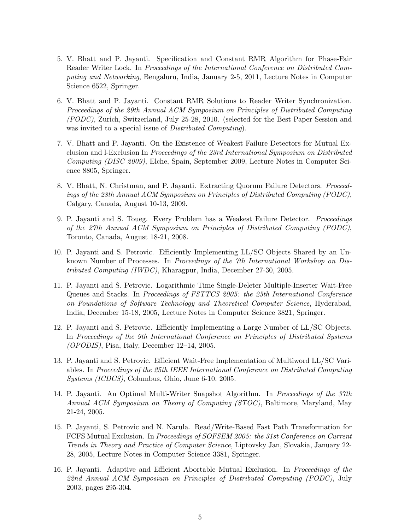- 5. V. Bhatt and P. Jayanti. Specification and Constant RMR Algorithm for Phase-Fair Reader Writer Lock. In *Proceedings of the International Conference on Distributed Com*puting and Networking, Bengaluru, India, January 2-5, 2011, Lecture Notes in Computer Science 6522, Springer.
- 6. V. Bhatt and P. Jayanti. Constant RMR Solutions to Reader Writer Synchronization. Proceedings of the 29th Annual ACM Symposium on Principles of Distributed Computing (PODC), Zurich, Switzerland, July 25-28, 2010. (selected for the Best Paper Session and was invited to a special issue of *Distributed Computing*).
- 7. V. Bhatt and P. Jayanti. On the Existence of Weakest Failure Detectors for Mutual Exclusion and l-Exclusion In Proceedings of the 23rd International Symposium on Distributed Computing (DISC 2009), Elche, Spain, September 2009, Lecture Notes in Computer Science 8805, Springer.
- 8. V. Bhatt, N. Christman, and P. Jayanti. Extracting Quorum Failure Detectors. Proceedings of the 28th Annual ACM Symposium on Principles of Distributed Computing (PODC), Calgary, Canada, August 10-13, 2009.
- 9. P. Jayanti and S. Toueg. Every Problem has a Weakest Failure Detector. Proceedings of the 27th Annual ACM Symposium on Principles of Distributed Computing (PODC), Toronto, Canada, August 18-21, 2008.
- 10. P. Jayanti and S. Petrovic. Efficiently Implementing LL/SC Objects Shared by an Unknown Number of Processes. In Proceedings of the 7th International Workshop on Distributed Computing (IWDC), Kharagpur, India, December 27-30, 2005.
- 11. P. Jayanti and S. Petrovic. Logarithmic Time Single-Deleter Multiple-Inserter Wait-Free Queues and Stacks. In Proceedings of FSTTCS 2005: the 25th International Conference on Foundations of Software Technology and Theoretical Computer Science, Hyderabad, India, December 15-18, 2005, Lecture Notes in Computer Science 3821, Springer.
- 12. P. Jayanti and S. Petrovic. Efficiently Implementing a Large Number of LL/SC Objects. In Proceedings of the 9th International Conference on Principles of Distributed Systems (OPODIS), Pisa, Italy, December 12–14, 2005.
- 13. P. Jayanti and S. Petrovic. Efficient Wait-Free Implementation of Multiword LL/SC Variables. In Proceedings of the 25th IEEE International Conference on Distributed Computing Systems (ICDCS), Columbus, Ohio, June 6-10, 2005.
- 14. P. Jayanti. An Optimal Multi-Writer Snapshot Algorithm. In Proceedings of the 37th Annual ACM Symposium on Theory of Computing (STOC), Baltimore, Maryland, May 21-24, 2005.
- 15. P. Jayanti, S. Petrovic and N. Narula. Read/Write-Based Fast Path Transformation for FCFS Mutual Exclusion. In Proceedings of SOFSEM 2005: the 31st Conference on Current Trends in Theory and Practice of Computer Science, Liptovsky Jan, Slovakia, January 22- 28, 2005, Lecture Notes in Computer Science 3381, Springer.
- 16. P. Jayanti. Adaptive and Efficient Abortable Mutual Exclusion. In Proceedings of the 22nd Annual ACM Symposium on Principles of Distributed Computing (PODC), July 2003, pages 295-304.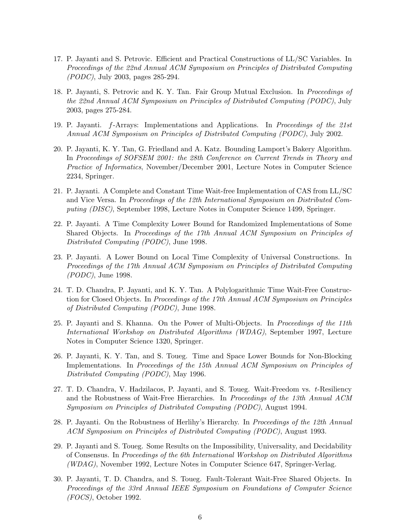- 17. P. Jayanti and S. Petrovic. Efficient and Practical Constructions of LL/SC Variables. In Proceedings of the 22nd Annual ACM Symposium on Principles of Distributed Computing (PODC), July 2003, pages 285-294.
- 18. P. Jayanti, S. Petrovic and K. Y. Tan. Fair Group Mutual Exclusion. In Proceedings of the 22nd Annual ACM Symposium on Principles of Distributed Computing (PODC), July 2003, pages 275-284.
- 19. P. Jayanti. f-Arrays: Implementations and Applications. In Proceedings of the 21st Annual ACM Symposium on Principles of Distributed Computing (PODC), July 2002.
- 20. P. Jayanti, K. Y. Tan, G. Friedland and A. Katz. Bounding Lamport's Bakery Algorithm. In Proceedings of SOFSEM 2001: the 28th Conference on Current Trends in Theory and Practice of Informatics, November/December 2001, Lecture Notes in Computer Science 2234, Springer.
- 21. P. Jayanti. A Complete and Constant Time Wait-free Implementation of CAS from LL/SC and Vice Versa. In Proceedings of the 12th International Symposium on Distributed Computing (DISC), September 1998, Lecture Notes in Computer Science 1499, Springer.
- 22. P. Jayanti. A Time Complexity Lower Bound for Randomized Implementations of Some Shared Objects. In Proceedings of the 17th Annual ACM Symposium on Principles of Distributed Computing (PODC), June 1998.
- 23. P. Jayanti. A Lower Bound on Local Time Complexity of Universal Constructions. In Proceedings of the 17th Annual ACM Symposium on Principles of Distributed Computing (PODC), June 1998.
- 24. T. D. Chandra, P. Jayanti, and K. Y. Tan. A Polylogarithmic Time Wait-Free Construction for Closed Objects. In Proceedings of the 17th Annual ACM Symposium on Principles of Distributed Computing (PODC), June 1998.
- 25. P. Jayanti and S. Khanna. On the Power of Multi-Objects. In Proceedings of the 11th International Workshop on Distributed Algorithms (WDAG), September 1997, Lecture Notes in Computer Science 1320, Springer.
- 26. P. Jayanti, K. Y. Tan, and S. Toueg. Time and Space Lower Bounds for Non-Blocking Implementations. In Proceedings of the 15th Annual ACM Symposium on Principles of Distributed Computing (PODC), May 1996.
- 27. T. D. Chandra, V. Hadzilacos, P. Jayanti, and S. Toueg. Wait-Freedom vs. t-Resiliency and the Robustness of Wait-Free Hierarchies. In Proceedings of the 13th Annual ACM Symposium on Principles of Distributed Computing (PODC), August 1994.
- 28. P. Jayanti. On the Robustness of Herlihy's Hierarchy. In Proceedings of the 12th Annual ACM Symposium on Principles of Distributed Computing (PODC), August 1993.
- 29. P. Jayanti and S. Toueg. Some Results on the Impossibility, Universality, and Decidability of Consensus. In Proceedings of the 6th International Workshop on Distributed Algorithms (WDAG), November 1992, Lecture Notes in Computer Science 647, Springer-Verlag.
- 30. P. Jayanti, T. D. Chandra, and S. Toueg. Fault-Tolerant Wait-Free Shared Objects. In Proceedings of the 33rd Annual IEEE Symposium on Foundations of Computer Science (FOCS), October 1992.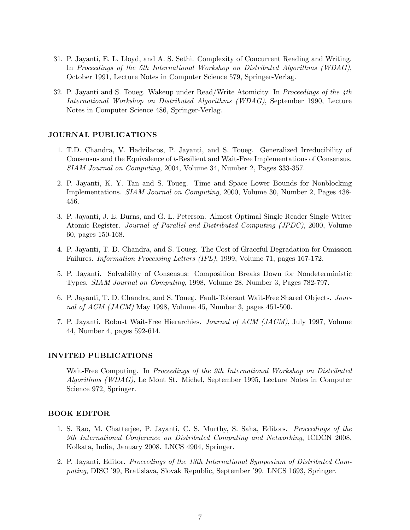- 31. P. Jayanti, E. L. Lloyd, and A. S. Sethi. Complexity of Concurrent Reading and Writing. In Proceedings of the 5th International Workshop on Distributed Algorithms (WDAG), October 1991, Lecture Notes in Computer Science 579, Springer-Verlag.
- 32. P. Jayanti and S. Toueg. Wakeup under Read/Write Atomicity. In Proceedings of the 4th International Workshop on Distributed Algorithms (WDAG), September 1990, Lecture Notes in Computer Science 486, Springer-Verlag.

#### JOURNAL PUBLICATIONS

- 1. T.D. Chandra, V. Hadzilacos, P. Jayanti, and S. Toueg. Generalized Irreducibility of Consensus and the Equivalence of t-Resilient and Wait-Free Implementations of Consensus. SIAM Journal on Computing, 2004, Volume 34, Number 2, Pages 333-357.
- 2. P. Jayanti, K. Y. Tan and S. Toueg. Time and Space Lower Bounds for Nonblocking Implementations. SIAM Journal on Computing, 2000, Volume 30, Number 2, Pages 438- 456.
- 3. P. Jayanti, J. E. Burns, and G. L. Peterson. Almost Optimal Single Reader Single Writer Atomic Register. Journal of Parallel and Distributed Computing (JPDC), 2000, Volume 60, pages 150-168.
- 4. P. Jayanti, T. D. Chandra, and S. Toueg. The Cost of Graceful Degradation for Omission Failures. Information Processing Letters (IPL), 1999, Volume 71, pages 167-172.
- 5. P. Jayanti. Solvability of Consensus: Composition Breaks Down for Nondeterministic Types. SIAM Journal on Computing, 1998, Volume 28, Number 3, Pages 782-797.
- 6. P. Jayanti, T. D. Chandra, and S. Toueg. Fault-Tolerant Wait-Free Shared Objects. Journal of ACM (JACM) May 1998, Volume 45, Number 3, pages 451-500.
- 7. P. Jayanti. Robust Wait-Free Hierarchies. Journal of ACM (JACM), July 1997, Volume 44, Number 4, pages 592-614.

#### INVITED PUBLICATIONS

Wait-Free Computing. In Proceedings of the 9th International Workshop on Distributed Algorithms (WDAG), Le Mont St. Michel, September 1995, Lecture Notes in Computer Science 972, Springer.

### BOOK EDITOR

- 1. S. Rao, M. Chatterjee, P. Jayanti, C. S. Murthy, S. Saha, Editors. Proceedings of the 9th International Conference on Distributed Computing and Networking, ICDCN 2008, Kolkata, India, January 2008. LNCS 4904, Springer.
- 2. P. Jayanti, Editor. Proceedings of the 13th International Symposium of Distributed Computing, DISC '99, Bratislava, Slovak Republic, September '99. LNCS 1693, Springer.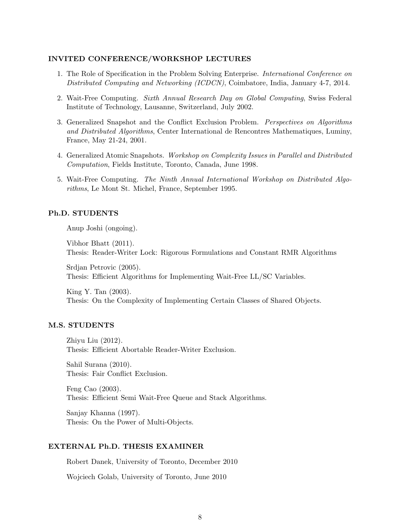# INVITED CONFERENCE/WORKSHOP LECTURES

- 1. The Role of Specification in the Problem Solving Enterprise. International Conference on Distributed Computing and Networking (ICDCN), Coimbatore, India, January 4-7, 2014.
- 2. Wait-Free Computing. Sixth Annual Research Day on Global Computing, Swiss Federal Institute of Technology, Lausanne, Switzerland, July 2002.
- 3. Generalized Snapshot and the Conflict Exclusion Problem. Perspectives on Algorithms and Distributed Algorithms, Center International de Rencontres Mathematiques, Luminy, France, May 21-24, 2001.
- 4. Generalized Atomic Snapshots. Workshop on Complexity Issues in Parallel and Distributed Computation, Fields Institute, Toronto, Canada, June 1998.
- 5. Wait-Free Computing. The Ninth Annual International Workshop on Distributed Algorithms, Le Mont St. Michel, France, September 1995.

#### Ph.D. STUDENTS

Anup Joshi (ongoing).

Vibhor Bhatt (2011). Thesis: Reader-Writer Lock: Rigorous Formulations and Constant RMR Algorithms

Srdjan Petrovic (2005). Thesis: Efficient Algorithms for Implementing Wait-Free LL/SC Variables.

King Y. Tan (2003). Thesis: On the Complexity of Implementing Certain Classes of Shared Objects.

#### M.S. STUDENTS

Zhiyu Liu (2012). Thesis: Efficient Abortable Reader-Writer Exclusion.

Sahil Surana (2010). Thesis: Fair Conflict Exclusion.

Feng Cao (2003). Thesis: Efficient Semi Wait-Free Queue and Stack Algorithms.

Sanjay Khanna (1997). Thesis: On the Power of Multi-Objects.

### EXTERNAL Ph.D. THESIS EXAMINER

Robert Danek, University of Toronto, December 2010

Wojciech Golab, University of Toronto, June 2010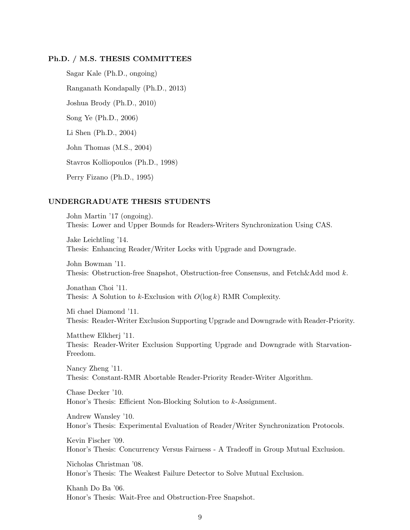### Ph.D. / M.S. THESIS COMMITTEES

Sagar Kale (Ph.D., ongoing) Ranganath Kondapally (Ph.D., 2013) Joshua Brody (Ph.D., 2010) Song Ye (Ph.D., 2006) Li Shen (Ph.D., 2004) John Thomas (M.S., 2004) Stavros Kolliopoulos (Ph.D., 1998) Perry Fizano (Ph.D., 1995)

#### UNDERGRADUATE THESIS STUDENTS

John Martin '17 (ongoing). Thesis: Lower and Upper Bounds for Readers-Writers Synchronization Using CAS.

Jake Leichtling '14. Thesis: Enhancing Reader/Writer Locks with Upgrade and Downgrade.

John Bowman '11. Thesis: Obstruction-free Snapshot, Obstruction-free Consensus, and Fetch&Add mod k.

Jonathan Choi '11. Thesis: A Solution to k-Exclusion with  $O(\log k)$  RMR Complexity.

Mi chael Diamond '11. Thesis: Reader-Writer Exclusion Supporting Upgrade and Downgrade with Reader-Priority.

Matthew Elkherj '11. Thesis: Reader-Writer Exclusion Supporting Upgrade and Downgrade with Starvation-Freedom.

Nancy Zheng '11. Thesis: Constant-RMR Abortable Reader-Priority Reader-Writer Algorithm.

Chase Decker '10. Honor's Thesis: Efficient Non-Blocking Solution to k-Assignment.

Andrew Wansley '10. Honor's Thesis: Experimental Evaluation of Reader/Writer Synchronization Protocols.

Kevin Fischer '09. Honor's Thesis: Concurrency Versus Fairness - A Tradeoff in Group Mutual Exclusion.

Nicholas Christman '08. Honor's Thesis: The Weakest Failure Detector to Solve Mutual Exclusion.

Khanh Do Ba '06. Honor's Thesis: Wait-Free and Obstruction-Free Snapshot.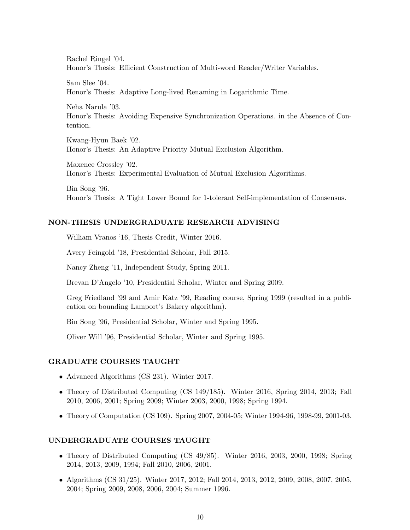Rachel Ringel '04. Honor's Thesis: Efficient Construction of Multi-word Reader/Writer Variables.

Sam Slee '04. Honor's Thesis: Adaptive Long-lived Renaming in Logarithmic Time.

Neha Narula '03. Honor's Thesis: Avoiding Expensive Synchronization Operations. in the Absence of Contention.

Kwang-Hyun Baek '02. Honor's Thesis: An Adaptive Priority Mutual Exclusion Algorithm.

Maxence Crossley '02. Honor's Thesis: Experimental Evaluation of Mutual Exclusion Algorithms.

Bin Song '96. Honor's Thesis: A Tight Lower Bound for 1-tolerant Self-implementation of Consensus.

#### NON-THESIS UNDERGRADUATE RESEARCH ADVISING

William Vranos '16, Thesis Credit, Winter 2016.

Avery Feingold '18, Presidential Scholar, Fall 2015.

Nancy Zheng '11, Independent Study, Spring 2011.

Brevan D'Angelo '10, Presidential Scholar, Winter and Spring 2009.

Greg Friedland '99 and Amir Katz '99, Reading course, Spring 1999 (resulted in a publication on bounding Lamport's Bakery algorithm).

Bin Song '96, Presidential Scholar, Winter and Spring 1995.

Oliver Will '96, Presidential Scholar, Winter and Spring 1995.

#### GRADUATE COURSES TAUGHT

- Advanced Algorithms (CS 231). Winter 2017.
- Theory of Distributed Computing (CS 149/185). Winter 2016, Spring 2014, 2013; Fall 2010, 2006, 2001; Spring 2009; Winter 2003, 2000, 1998; Spring 1994.
- Theory of Computation (CS 109). Spring 2007, 2004-05; Winter 1994-96, 1998-99, 2001-03.

#### UNDERGRADUATE COURSES TAUGHT

- Theory of Distributed Computing (CS 49/85). Winter 2016, 2003, 2000, 1998; Spring 2014, 2013, 2009, 1994; Fall 2010, 2006, 2001.
- Algorithms (CS 31/25). Winter 2017, 2012; Fall 2014, 2013, 2012, 2009, 2008, 2007, 2005, 2004; Spring 2009, 2008, 2006, 2004; Summer 1996.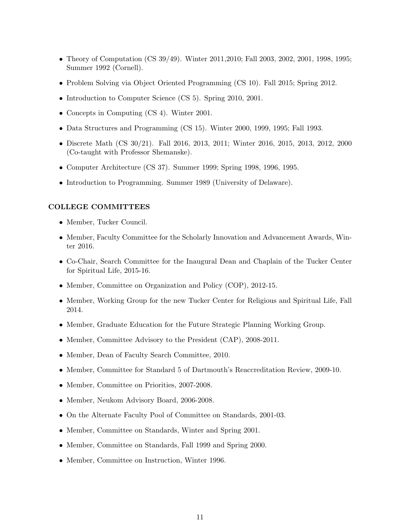- Theory of Computation (CS 39/49). Winter 2011, 2010; Fall 2003, 2002, 2001, 1998, 1995; Summer 1992 (Cornell).
- Problem Solving via Object Oriented Programming (CS 10). Fall 2015; Spring 2012.
- Introduction to Computer Science (CS 5). Spring 2010, 2001.
- Concepts in Computing (CS 4). Winter 2001.
- Data Structures and Programming (CS 15). Winter 2000, 1999, 1995; Fall 1993.
- Discrete Math (CS 30/21). Fall 2016, 2013, 2011; Winter 2016, 2015, 2013, 2012, 2000 (Co-taught with Professor Shemanske).
- Computer Architecture (CS 37). Summer 1999; Spring 1998, 1996, 1995.
- Introduction to Programming. Summer 1989 (University of Delaware).

#### COLLEGE COMMITTEES

- Member, Tucker Council.
- Member, Faculty Committee for the Scholarly Innovation and Advancement Awards, Winter 2016.
- Co-Chair, Search Committee for the Inaugural Dean and Chaplain of the Tucker Center for Spiritual Life, 2015-16.
- Member, Committee on Organization and Policy (COP), 2012-15.
- Member, Working Group for the new Tucker Center for Religious and Spiritual Life, Fall 2014.
- Member, Graduate Education for the Future Strategic Planning Working Group.
- Member, Committee Advisory to the President (CAP), 2008-2011.
- Member, Dean of Faculty Search Committee, 2010.
- Member, Committee for Standard 5 of Dartmouth's Reaccreditation Review, 2009-10.
- Member, Committee on Priorities, 2007-2008.
- Member, Neukom Advisory Board, 2006-2008.
- On the Alternate Faculty Pool of Committee on Standards, 2001-03.
- Member, Committee on Standards, Winter and Spring 2001.
- Member, Committee on Standards, Fall 1999 and Spring 2000.
- Member, Committee on Instruction, Winter 1996.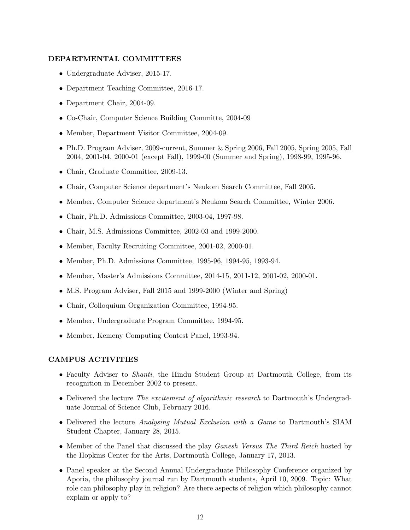## DEPARTMENTAL COMMITTEES

- Undergraduate Adviser, 2015-17.
- Department Teaching Committee, 2016-17.
- Department Chair, 2004-09.
- Co-Chair, Computer Science Building Committe, 2004-09
- Member, Department Visitor Committee, 2004-09.
- Ph.D. Program Adviser, 2009-current, Summer & Spring 2006, Fall 2005, Spring 2005, Fall 2004, 2001-04, 2000-01 (except Fall), 1999-00 (Summer and Spring), 1998-99, 1995-96.
- Chair, Graduate Committee, 2009-13.
- Chair, Computer Science department's Neukom Search Committee, Fall 2005.
- Member, Computer Science department's Neukom Search Committee, Winter 2006.
- Chair, Ph.D. Admissions Committee, 2003-04, 1997-98.
- Chair, M.S. Admissions Committee, 2002-03 and 1999-2000.
- Member, Faculty Recruiting Committee, 2001-02, 2000-01.
- Member, Ph.D. Admissions Committee, 1995-96, 1994-95, 1993-94.
- Member, Master's Admissions Committee, 2014-15, 2011-12, 2001-02, 2000-01.
- M.S. Program Adviser, Fall 2015 and 1999-2000 (Winter and Spring)
- Chair, Colloquium Organization Committee, 1994-95.
- Member, Undergraduate Program Committee, 1994-95.
- Member, Kemeny Computing Contest Panel, 1993-94.

#### CAMPUS ACTIVITIES

- Faculty Adviser to *Shanti*, the Hindu Student Group at Dartmouth College, from its recognition in December 2002 to present.
- Delivered the lecture The excitement of algorithmic research to Dartmouth's Undergraduate Journal of Science Club, February 2016.
- Delivered the lecture Analysing Mutual Exclusion with a Game to Dartmouth's SIAM Student Chapter, January 28, 2015.
- Member of the Panel that discussed the play *Ganesh Versus The Third Reich* hosted by the Hopkins Center for the Arts, Dartmouth College, January 17, 2013.
- Panel speaker at the Second Annual Undergraduate Philosophy Conference organized by Aporia, the philosophy journal run by Dartmouth students, April 10, 2009. Topic: What role can philosophy play in religion? Are there aspects of religion which philosophy cannot explain or apply to?